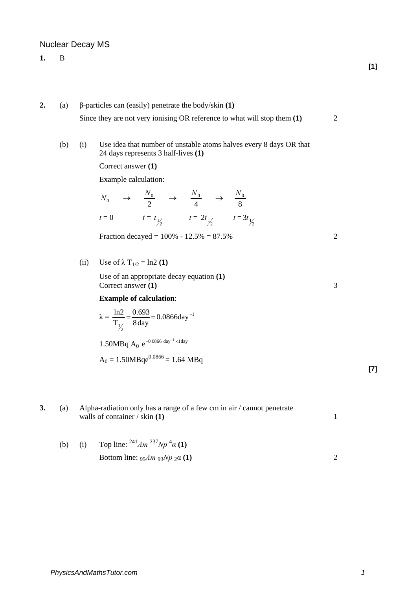# Nuclear Decay MS

- **1.** B
- **2.** (a) β-particles can (easily) penetrate the body/skin **(1)** Since they are not very ionising OR reference to what will stop them **(1)** 2
	- (b) (i) Use idea that number of unstable atoms halves every 8 days OR that 24 days represents 3 half-lives **(1)**

Correct answer **(1)**

Example calculation:

$$
N_0 \rightarrow \frac{N_0}{2} \rightarrow \frac{N_0}{4} \rightarrow \frac{N_0}{8}
$$
  

$$
t = 0 \qquad t = t_{1/2} \qquad t = 2t_{1/2} \qquad t = 3t_{1/2}
$$

Fraction decayed =  $100\% - 12.5\% = 87.5\%$  2

(ii) Use of  $\lambda$  T<sub>1/2</sub> = ln2 **(1)** 

Use of an appropriate decay equation **(1)** Correct answer **(1)** 3

### **Example of calculation**:

$$
\lambda = \frac{\ln 2}{T_{\frac{1}{2}}} = \frac{0.693}{8 \text{ day}} = 0.0866 \text{day}^{-1}
$$

$$
1.50MBq\ A_0\ e^{-0.0866\ day^{-1}\times1day}
$$

$$
A_0 = 1.50MBqe^{0.0866} = 1.64 MBq
$$

**3.** (a) Alpha-radiation only has a range of a few cm in air / cannot penetrate walls of container / skin **(1)** 1

(b) (i) Top line: 
$$
{}^{241}Am \, {}^{237}Np \, {}^{4}\alpha
$$
 (1)  
Bottom line:  ${}_{95}Am \, {}_{93}Np \, {}_{2}\alpha$  (1)

**[7]**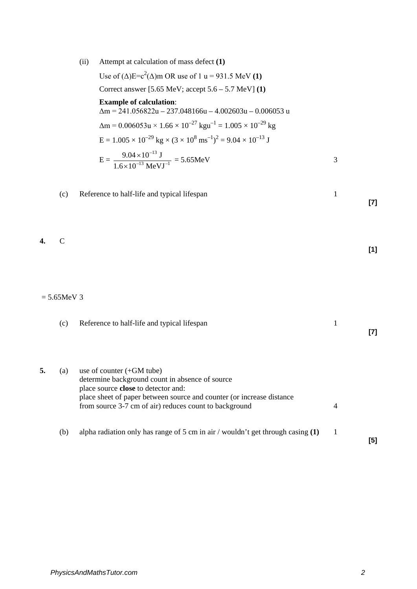(ii) Attempt at calculation of mass defect **(1)**

Use of  $(\Delta)E = c^2(\Delta)$ m OR use of 1 u = 931.5 MeV (1) Correct answer [5.65 MeV; accept 5.6 – 5.7 MeV] **(1) Example of calculation**:  $\Delta m = 241.056822u - 237.048166u - 4.002603u - 0.006053u$  $\Delta m = 0.006053u \times 1.66 \times 10^{-27}$  kgu<sup>-1</sup> =  $1.005 \times 10^{-29}$  kg  $E = 1.005 \times 10^{-29}$  kg  $\times (3 \times 10^8 \text{ ms}^{-1})^2 = 9.04 \times 10^{-13}$  J  $E = \frac{3.64 \times 10^{-13} \text{ M_0 V I}^{-1}}{1.6 \times 10^{-13} \text{ M_0 V I}^{-1}}$ –13  $1.6 \times 10^{-13}$  MeVJ  $9.04 \times 10^{-13}$  J ×  $\frac{\times 10^{-13} \text{ J}}{2} = 5.65 \text{MeV}$  3 (c) Reference to half-life and typical lifespan 1 **[7] 4.** C **[1]**  $= 5.65MeV$  3 (c) Reference to half-life and typical lifespan 1 **[7] 5.** (a) use of counter (+GM tube) determine background count in absence of source place source **close** to detector and: place sheet of paper between source and counter (or increase distance from source 3-7 cm of air) reduces count to background 4 (b) alpha radiation only has range of 5 cm in air / wouldn't get through casing **(1)** 1 **[5]**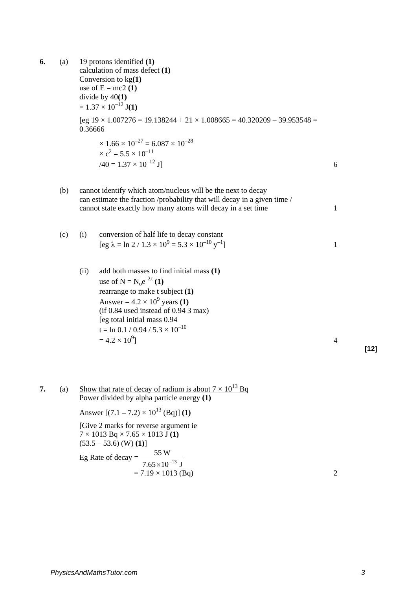**6.** (a) 19 protons identified **(1)**  calculation of mass defect **(1)** Conversion to kg**(1)**  use of  $E = mc2(1)$ divide by 40**(1)**  $= 1.37 \times 10^{-12}$  **J(1)**  $[eg 19 \times 1.007276 = 19.138244 + 21 \times 1.008665 = 40.320209 - 39.953548 =$ 0.36666  $\times$  1.66  $\times$  10<sup>-27</sup> = 6.087  $\times$  10<sup>-28</sup>  $\times$  c<sup>2</sup> = 5.5  $\times$  10<sup>-11</sup>  $/40 = 1.37 \times 10^{-12}$  J] 6 (b) cannot identify which atom/nucleus will be the next to decay can estimate the fraction /probability that will decay in a given time / cannot state exactly how many atoms will decay in a set time 1 (c) (i) conversion of half life to decay constant  $[eg \lambda = ln 2 / 1.3 \times 10^{9} = 5.3 \times 10^{-10} \text{ y}^{-1}]$  $\begin{bmatrix} -1 \end{bmatrix}$  1 (ii) add both masses to find initial mass **(1)**  use of  $N = N_0 e^{-\lambda t}$  (1) rearrange to make t subject **(1)**  Answer =  $4.2 \times 10^9$  years **(1)** 

(if 0.84 used instead of 0.94 3 max) [eg total initial mass 0.94 t = ln 0.1 / 0.94 / 5.3 × 10–10 = 4.2 × 109 ] 4

**[12]**

**7.** (a) Show that rate of decay of radium is about  $7 \times 10^{13}$  Bq Power divided by alpha particle energy **(1)**

Answer  $[(7.1 - 7.2) \times 10^{13}$  (Bq)] (1)

[Give 2 marks for reverse argument ie  $7 \times 1013$  Bq  $\times 7.65 \times 1013$  J (1)  $(53.5 - 53.6)$  (W)  $(1)$ ] Eg Rate of decay =  $\frac{55 \text{ W}}{7.65 \times 10^{-13} \text{ J}}$ 

$$
7.65 \times 10^{-13} \text{ J}
$$
  
= 7.19 × 1013 (Bq)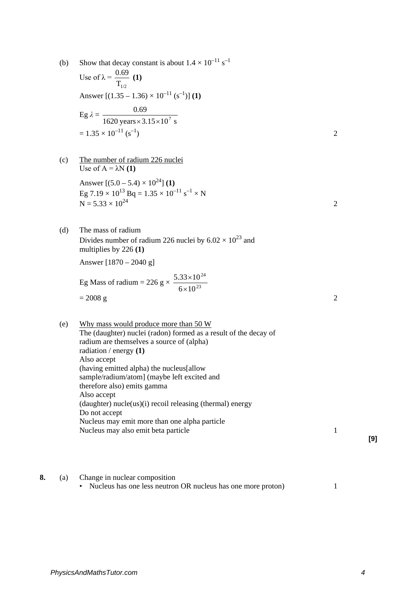- (b) Show that decay constant is about  $1.4 \times 10^{-11}$  s<sup>-1</sup> Use of  $\lambda =$  $\mathrm{T_{1/2}}$  $\frac{0.69}{1}$  (1) Answer  $[(1.35 - 1.36) \times 10^{-11} (s^{-1})]$  (1) Eg  $\lambda = \frac{0.69}{1620 \text{ years} \times 3.15 \times 10^7 \text{ s}}$  $\times$ 3.15 $\times$ 10<sup>7</sup>  $= 1.35 \times 10^{-11}$  (s<sup>-1</sup>) 2 (c) The number of radium 226 nuclei Use of  $A = \lambda N(1)$ Answer  $[(5.0 - 5.4) \times 10^{24}]$  (1) Eg 7.19  $\times$  10<sup>13</sup> Bq = 1.35  $\times$  10<sup>-11</sup> s<sup>-1</sup>  $\times$  N  $N = 5.33 \times 10^{24}$  2 (d) The mass of radium Divides number of radium 226 nuclei by  $6.02 \times 10^{23}$  and multiplies by 226 **(1)** Answer [1870 – 2040 g] Eg Mass of radium = 226 g  $\times \frac{3.53 \times 10^{23}}{6 \times 10^{23}}$ 24  $6\times10$  $5.33 \times 10$ × ×  $= 2008 \text{ g}$  2 (e) Why mass would produce more than 50 W The (daughter) nuclei (radon) formed as a result of the decay of radium are themselves a source of (alpha) radiation / energy **(1)** Also accept (having emitted alpha) the nucleus[allow sample/radium/atom] (maybe left excited and therefore also) emits gamma Also accept (daughter) nucle(us)(i) recoil releasing (thermal) energy Do not accept Nucleus may emit more than one alpha particle Nucleus may also emit beta particle 1 **8.** (a) Change in nuclear composition
	- Nucleus has one less neutron OR nucleus has one more proton) 1

**[9]**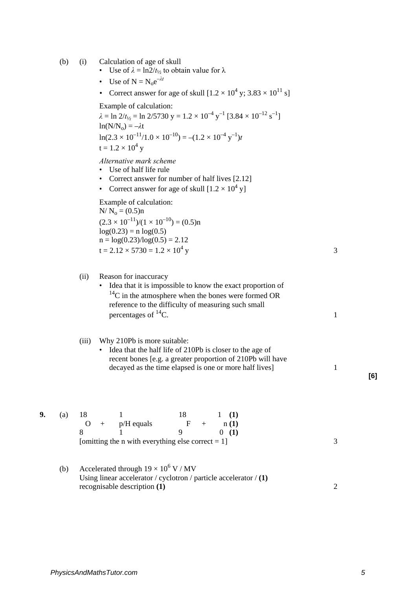- (b) (i) Calculation of age of skull
	- Use of  $\lambda = \ln 2/t_1/2$  to obtain value for  $\lambda$
	- Use of  $N = N_0 e^{-\lambda t}$
	- Correct answer for age of skull  $[1.2 \times 10^4 \text{ y}; 3.83 \times 10^{11} \text{ s}]$

Example of calculation:

 $\lambda = \ln 2/t_{1/2} = \ln 2/5730 \text{ y} = 1.2 \times 10^{-4} \text{ y}^{-1} [3.84 \times 10^{-12} \text{ s}^{-1}]$  $ln(N/N_0) = -\lambda t$  $\ln(2.3 \times 10^{-11}/1.0 \times 10^{-10}) = -(1.2 \times 10^{-4} \text{ y}^{-1})t$  $t = 1.2 \times 10^4$  y

*Alternative mark scheme*

- Use of half life rule
- Correct answer for number of half lives [2.12]
- Correct answer for age of skull  $[1.2 \times 10^4 \text{ v}]$

Example of calculation:  $N/N_0 = (0.5)n$  $(2.3 \times 10^{-11})/(1 \times 10^{-10}) = (0.5)$ n  $log(0.23) = n log(0.5)$  $n = \log(0.23)/\log(0.5) = 2.12$ 

$$
t = 2.12 \times 5730 = 1.2 \times 10^4 \text{ y}
$$

### (ii) Reason for inaccuracy

• Idea that it is impossible to know the exact proportion of  $14$ C in the atmosphere when the bones were formed OR reference to the difficulty of measuring such small percentages of  ${}^{14}C$ . 1

### (iii) Why 210Pb is more suitable:

• Idea that the half life of 210Pb is closer to the age of recent bones [e.g. a greater proportion of 210Pb will have decayed as the time elapsed is one or more half lives] 1

| 9. | (a) | - 18 |                                                      |       | $1 \quad (1)$ |  |
|----|-----|------|------------------------------------------------------|-------|---------------|--|
|    |     |      | $O + p/H$ equals                                     | $F +$ | n(1)          |  |
|    |     |      |                                                      |       | (1)           |  |
|    |     |      | [omitting the n with everything else correct $= 1$ ] |       |               |  |

(b) Accelerated through  $19 \times 10^6$  V / MV Using linear accelerator / cyclotron / particle accelerator / **(1)** recognisable description **(1)** 2 **[6]**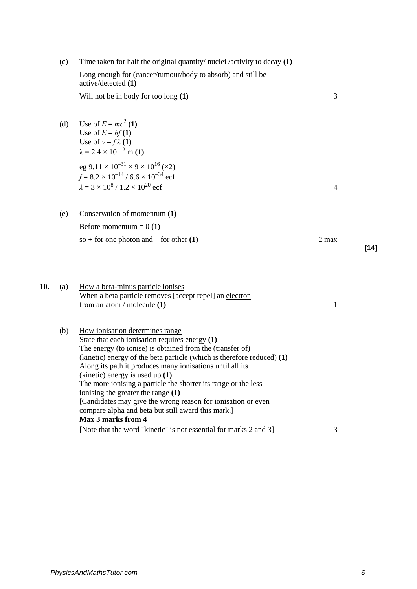|     | (c) | Time taken for half the original quantity/ nuclei /activity to decay $(1)$                                                                                                                                                                                                                                                                                                                                                                                                                                                                                                     |              |        |
|-----|-----|--------------------------------------------------------------------------------------------------------------------------------------------------------------------------------------------------------------------------------------------------------------------------------------------------------------------------------------------------------------------------------------------------------------------------------------------------------------------------------------------------------------------------------------------------------------------------------|--------------|--------|
|     |     | Long enough for (cancer/tumour/body to absorb) and still be<br>active/detected (1)                                                                                                                                                                                                                                                                                                                                                                                                                                                                                             |              |        |
|     |     | Will not be in body for too long (1)                                                                                                                                                                                                                                                                                                                                                                                                                                                                                                                                           | 3            |        |
|     | (d) | Use of $E = mc^2(1)$<br>Use of $E = hf(1)$<br>Use of $v = f \lambda(1)$<br>$\lambda$ = 2.4 × 10 <sup>-12</sup> m (1)<br>eg $9.11 \times 10^{-31} \times 9 \times 10^{16}$ (×2)<br>$f = 8.2 \times 10^{-14}$ / 6.6 $\times 10^{-34}$ ecf<br>$\lambda = 3 \times 10^8 / 1.2 \times 10^{20}$ ecf                                                                                                                                                                                                                                                                                  | 4            |        |
|     | (e) | Conservation of momentum (1)                                                                                                                                                                                                                                                                                                                                                                                                                                                                                                                                                   |              |        |
|     |     | Before momentum = $0(1)$                                                                                                                                                                                                                                                                                                                                                                                                                                                                                                                                                       |              |        |
|     |     | so + for one photon and – for other $(1)$                                                                                                                                                                                                                                                                                                                                                                                                                                                                                                                                      | 2 max        | $[14]$ |
| 10. | (a) | How a beta-minus particle ionises<br>When a beta particle removes [accept repel] an electron<br>from an atom / molecule $(1)$                                                                                                                                                                                                                                                                                                                                                                                                                                                  | $\mathbf{1}$ |        |
|     | (b) | How ionisation determines range<br>State that each ionisation requires energy (1)<br>The energy (to ionise) is obtained from the (transfer of)<br>(kinetic) energy of the beta particle (which is therefore reduced) (1)<br>Along its path it produces many ionisations until all its<br>(kinetic) energy is used up $(1)$<br>The more ionising a particle the shorter its range or the less<br>ionising the greater the range (1)<br>[Candidates may give the wrong reason for ionisation or even<br>compare alpha and beta but still award this mark.]<br>Max 3 marks from 4 |              |        |
|     |     | [Note that the word kinetic <sup>-</sup> is not essential for marks 2 and 3]                                                                                                                                                                                                                                                                                                                                                                                                                                                                                                   | 3            |        |
|     |     |                                                                                                                                                                                                                                                                                                                                                                                                                                                                                                                                                                                |              |        |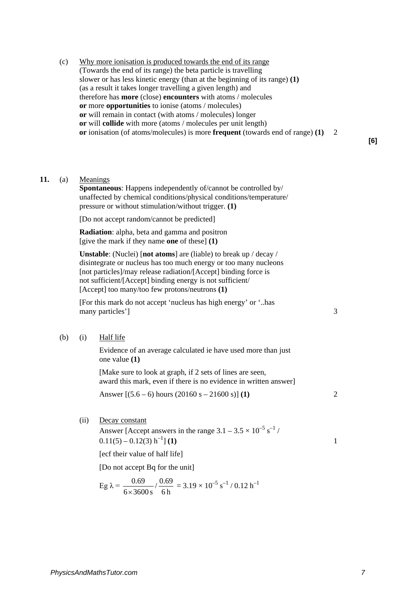(c) Why more ionisation is produced towards the end of its range (Towards the end of its range) the beta particle is travelling slower or has less kinetic energy (than at the beginning of its range) **(1)**  (as a result it takes longer travelling a given length) and therefore has **more** (close) **encounters** with atoms / molecules **or** more **opportunities** to ionise (atoms / molecules) **or** will remain in contact (with atoms / molecules) longer **or** will **collide** with more (atoms / molecules per unit length) **or** ionisation (of atoms/molecules) is more **frequent** (towards end of range) **(1)** 2

**[6]**

### **11.** (a) Meanings

**Spontaneous**: Happens independently of/cannot be controlled by/ unaffected by chemical conditions/physical conditions/temperature/ pressure or without stimulation/without trigger. **(1)**

[Do not accept random/cannot be predicted]

**Radiation**: alpha, beta and gamma and positron [give the mark if they name **one** of these] **(1)** 

**Unstable**: (Nuclei) [**not atoms**] are (liable) to break up / decay / disintegrate or nucleus has too much energy or too many nucleons [not particles]/may release radiation/[Accept] binding force is not sufficient/[Accept] binding energy is not sufficient/ [Accept] too many/too few protons/neutrons **(1)** 

[For this mark do not accept 'nucleus has high energy' or '..has many particles'] 3

(b) (i) Half life

Evidence of an average calculated ie have used more than just one value **(1)** 

[Make sure to look at graph, if 2 sets of lines are seen, award this mark, even if there is no evidence in written answer]

Answer  $[(5.6 - 6)$  hours  $(20160 s - 21600 s)]$  **(1)** 2

(ii) Decay constant

Answer [Accept answers in the range  $3.1 - 3.5 \times 10^{-5}$  s<sup>-1</sup> /  $0.11(5) - 0.12(3) h^{-1} (1)$  1

[ecf their value of half life]

[Do not accept Bq for the unit]

Eg 
$$
\lambda = \frac{0.69}{6 \times 3600 \text{ s}} / \frac{0.69}{6 \text{ h}} = 3.19 \times 10^{-5} \text{ s}^{-1} / 0.12 \text{ h}^{-1}
$$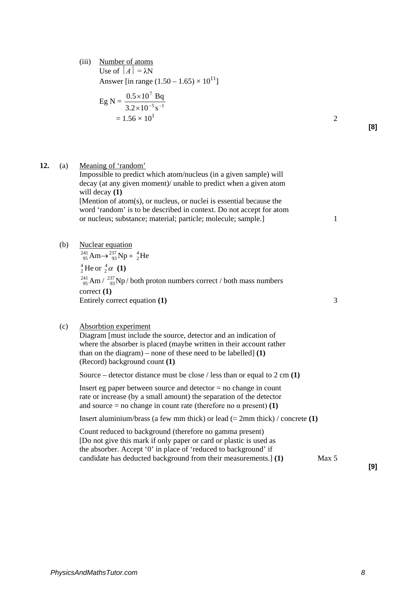(iii) Number of atoms Use of  $|A| = \lambda N$ Answer [in range  $(1.50 - 1.65) \times 10^{11}$ ]

Eg N = 
$$
\frac{0.5 \times 10^{7} \text{ Bq}}{3.2 \times 10^{-5} \text{ s}^{-1}}
$$
  
= 1.56 × 10<sup>1</sup>

**12.** (a) Meaning of 'random'

**[8]**

will decay **(1)** [Mention of atom(s), or nucleus, or nuclei is essential because the word 'random' is to be described in context. Do not accept for atom or nucleus; substance; material; particle; molecule; sample.] 1 (b) Nuclear equation  $^{241}_{95}$  Am $\rightarrow$   $^{237}_{93}$  Np +  $^{4}_{2}$  He  $^{4}_{2}$  He or  $^{4}_{2}$   $\alpha$  (1)  $^{241}_{95}$  Am /  $^{237}_{93}$ Np/ both proton numbers correct / both mass numbers correct **(1)** Entirely correct equation **(1)** 3 (c) Absorbtion experiment Diagram [must include the source, detector and an indication of where the absorber is placed (maybe written in their account rather than on the diagram) – none of these need to be labelled] **(1)** (Record) background count **(1)**  Source – detector distance must be close / less than or equal to 2 cm **(1)**  Insert eg paper between source and detector  $=$  no change in count rate or increase (by a small amount) the separation of the detector and source = no change in count rate (therefore no  $\alpha$  present) **(1)** Insert aluminium/brass (a few mm thick) or lead  $(\approx 2 \text{mm thick})$  / concrete **(1)** Count reduced to background (therefore no gamma present) [Do not give this mark if only paper or card or plastic is used as the absorber. Accept '0' in place of 'reduced to background' if

Impossible to predict which atom/nucleus (in a given sample) will decay (at any given moment)/ unable to predict when a given atom

candidate has deducted background from their measurements.] **(1)** Max 5

**[9]**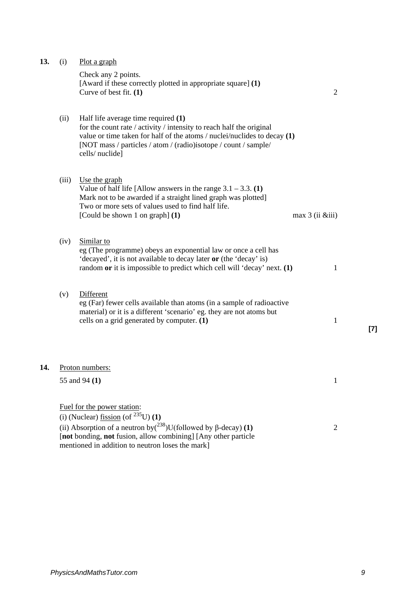| 13. | (i)   | Plot a graph                                                                                                                                                                                                                                                                     |                      |       |
|-----|-------|----------------------------------------------------------------------------------------------------------------------------------------------------------------------------------------------------------------------------------------------------------------------------------|----------------------|-------|
|     |       | Check any 2 points.<br>[Award if these correctly plotted in appropriate square] (1)<br>Curve of best fit. (1)                                                                                                                                                                    | $\overline{2}$       |       |
|     | (ii)  | Half life average time required (1)<br>for the count rate / activity / intensity to reach half the original<br>value or time taken for half of the atoms / nuclei/nuclides to decay $(1)$<br>[NOT mass / particles / atom / (radio)isotope / count / sample/<br>cells/nuclide]   |                      |       |
|     | (iii) | Use the graph<br>Value of half life [Allow answers in the range $3.1 - 3.3$ . (1)<br>Mark not to be awarded if a straight lined graph was plotted]<br>Two or more sets of values used to find half life.<br>[Could be shown 1 on graph] (1)                                      | $max 3$ (ii $&iii$ ) |       |
|     | (iv)  | Similar to<br>eg (The programme) obeys an exponential law or once a cell has<br>'decayed', it is not available to decay later or (the 'decay' is)<br>random or it is impossible to predict which cell will 'decay' next. (1)                                                     | 1                    |       |
|     | (v)   | <b>Different</b><br>eg (Far) fewer cells available than atoms (in a sample of radioactive<br>material) or it is a different 'scenario' eg. they are not atoms but<br>cells on a grid generated by computer. (1)                                                                  | 1                    | $[7]$ |
| 14. |       | Proton numbers:                                                                                                                                                                                                                                                                  |                      |       |
|     |       | 55 and 94 (1)                                                                                                                                                                                                                                                                    | 1                    |       |
|     |       | Fuel for the power station:<br>(i) (Nuclear) fission (of $^{235}$ U) (1)<br>(ii) Absorption of a neutron by $({}^{238}$ )U(followed by $\beta$ -decay) (1)<br>[not bonding, not fusion, allow combining] [Any other particle<br>mentioned in addition to neutron loses the mark] | $\overline{2}$       |       |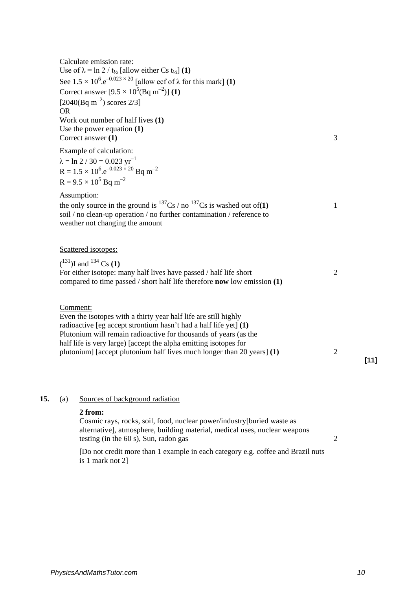| Calculate emission rate:<br>Use of $\lambda = \ln 2 / t_{1/2}$ [allow either Cs t <sub>1/2</sub> ] (1)<br>See $1.5 \times 10^6$ .e <sup>-0.023 × 20</sup> [allow ecf of $\lambda$ for this mark] (1)<br>Correct answer $[9.5 \times 10^5 (\text{Bq m}^{-2})]$ (1)<br>[2040(Bq m <sup>-2</sup> ) scores 2/3]<br><b>OR</b>                                          |                |
|-------------------------------------------------------------------------------------------------------------------------------------------------------------------------------------------------------------------------------------------------------------------------------------------------------------------------------------------------------------------|----------------|
| Work out number of half lives (1)<br>Use the power equation $(1)$<br>Correct answer (1)                                                                                                                                                                                                                                                                           | 3              |
| Example of calculation:<br>$\lambda = \ln 2 / 30 = 0.023$ yr <sup>-1</sup><br>$R = 1.5 \times 10^6$ . $e^{-0.023 \times 20}$ Bq m <sup>-2</sup><br>$R = 9.5 \times 10^5$ Bq m <sup>-2</sup>                                                                                                                                                                       |                |
| Assumption:<br>the only source in the ground is $^{137}Cs$ / no $^{137}Cs$ is washed out of(1)<br>soil / no clean-up operation / no further contamination / reference to<br>weather not changing the amount                                                                                                                                                       | 1              |
| Scattered isotopes:                                                                                                                                                                                                                                                                                                                                               |                |
| $(^{131})$ I and $^{134}$ Cs (1)<br>For either isotope: many half lives have passed / half life short<br>compared to time passed / short half life therefore <b>now</b> low emission $(1)$                                                                                                                                                                        | $\overline{2}$ |
| Comment:<br>Even the isotopes with a thirty year half life are still highly<br>radioactive [eg accept strontium hasn't had a half life yet] (1)<br>Plutonium will remain radioactive for thousands of years (as the<br>half life is very large) [accept the alpha emitting isotopes for<br>plutonium] [accept plutonium half lives much longer than 20 years] (1) | $\overline{2}$ |

# 15. (a) Sources of background radiation

### **2 from:**

Cosmic rays, rocks, soil, food, nuclear power/industry[buried waste as alternative], atmosphere, building material, medical uses, nuclear weapons testing (in the  $60 \text{ s}$ ), Sun, radon gas 2

[Do not credit more than 1 example in each category e.g. coffee and Brazil nuts is 1 mark not 2]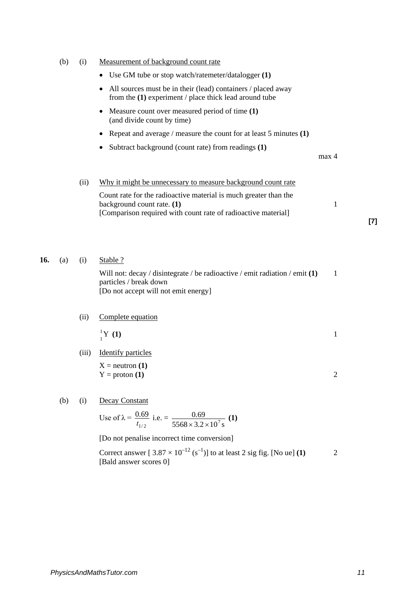|     | (b) | (i)   | Measurement of background count rate                                                                                                                            |                |       |
|-----|-----|-------|-----------------------------------------------------------------------------------------------------------------------------------------------------------------|----------------|-------|
|     |     |       | Use GM tube or stop watch/ratemeter/datalogger (1)<br>٠                                                                                                         |                |       |
|     |     |       | All sources must be in their (lead) containers / placed away<br>٠<br>from the $(1)$ experiment / place thick lead around tube                                   |                |       |
|     |     |       | Measure count over measured period of time (1)<br>٠<br>(and divide count by time)                                                                               |                |       |
|     |     |       | Repeat and average / measure the count for at least 5 minutes $(1)$                                                                                             |                |       |
|     |     |       | Subtract background (count rate) from readings (1)<br>٠                                                                                                         | max 4          |       |
|     |     | (ii)  | Why it might be unnecessary to measure background count rate                                                                                                    |                |       |
|     |     |       | Count rate for the radioactive material is much greater than the<br>background count rate. (1)<br>[Comparison required with count rate of radioactive material] | 1              | $[7]$ |
| 16. | (a) | (i)   | Stable ?<br>Will not: decay / disintegrate / be radioactive / emit radiation / emit $(1)$<br>particles / break down<br>[Do not accept will not emit energy]     | $\mathbf{1}$   |       |
|     |     | (ii)  | Complete equation                                                                                                                                               |                |       |
|     |     |       | ${}^1_1Y(1)$                                                                                                                                                    | 1              |       |
|     |     | (iii) | <b>Identify particles</b>                                                                                                                                       |                |       |
|     |     |       | $X =$ neutron $(1)$<br>$Y =$ proton $(1)$                                                                                                                       | $\overline{c}$ |       |
|     | (b) | (i)   | <b>Decay Constant</b>                                                                                                                                           |                |       |
|     |     |       | Use of $\lambda = \frac{0.69}{t_{1/2}}$ i.e. $= \frac{0.69}{5568 \times 3.2 \times 10^7 \text{ s}}$ (1)                                                         |                |       |
|     |     |       | [Do not penalise incorrect time conversion]                                                                                                                     |                |       |
|     |     |       | Correct answer $[3.87 \times 10^{-12} (s^{-1})]$ to at least 2 sig fig. [No ue] (1)<br>[Bald answer scores 0]                                                   | $\overline{2}$ |       |
|     |     |       |                                                                                                                                                                 |                |       |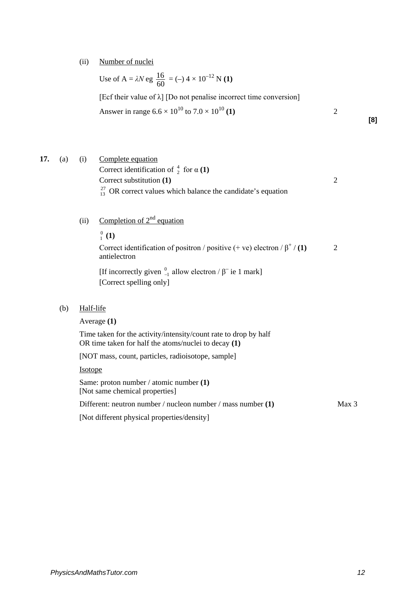(ii) Number of nuclei

Use of A =  $\lambda N$  eg  $\frac{16}{60}$  = (-) 4 × 10<sup>-12</sup> N (1) [Ecf their value of  $\lambda$ ] [Do not penalise incorrect time conversion] Answer in range  $6.6 \times 10^{10}$  to  $7.0 \times 10^{10}$  (1) 2 **[8]**

**17.** (a) (i) Complete equation Correct identification of  $\frac{4}{2}$  for  $\alpha$  (1) Correct substitution **(1)** 2  $^{27}_{13}$  OR correct values which balance the candidate's equation

- (ii) Completion of  $2<sup>nd</sup>$  equation
	- $_{1}^{0}$  (1)

Correct identification of positron / positive  $(+$  ve) electron  $/\beta^+$  / **(1)** 2 antielectron

[If incorrectly given  $_{-1}^{0}$  allow electron /  $\beta$ <sup>-</sup> ie 1 mark] [Correct spelling only]

(b) Half-life

Average **(1)** Time taken for the activity/intensity/count rate to drop by half OR time taken for half the atoms/nuclei to decay **(1)** [NOT mass, count, particles, radioisotope, sample] Isotope Same: proton number / atomic number **(1)** [Not same chemical properties] Different: neutron number / nucleon number / mass number **(1)** Max 3 [Not different physical properties/density]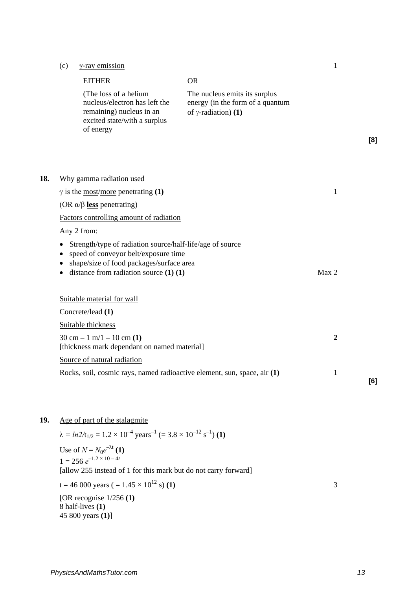# (c)  $\gamma$ -ray emission 1

|     | <b>EITHER</b>                                                                                                                   | <b>OR</b>                                                                                        |                  |     |
|-----|---------------------------------------------------------------------------------------------------------------------------------|--------------------------------------------------------------------------------------------------|------------------|-----|
|     | (The loss of a helium<br>nucleus/electron has left the<br>remaining) nucleus in an<br>excited state/with a surplus<br>of energy | The nucleus emits its surplus<br>energy (in the form of a quantum<br>of $\gamma$ -radiation) (1) |                  | [8] |
|     |                                                                                                                                 |                                                                                                  |                  |     |
| 18. | Why gamma radiation used                                                                                                        |                                                                                                  |                  |     |
|     | $\gamma$ is the <u>most/more</u> penetrating (1)                                                                                |                                                                                                  | $\mathbf{1}$     |     |
|     | (OR $\alpha/\beta$ less penetrating)                                                                                            |                                                                                                  |                  |     |
|     | Factors controlling amount of radiation                                                                                         |                                                                                                  |                  |     |
|     | Any 2 from:                                                                                                                     |                                                                                                  |                  |     |
|     | Strength/type of radiation source/half-life/age of source<br>speed of conveyor belt/exposure time                               |                                                                                                  |                  |     |
|     | shape/size of food packages/surface area                                                                                        |                                                                                                  |                  |     |
|     | distance from radiation source $(1)$ $(1)$                                                                                      |                                                                                                  | Max 2            |     |
|     | Suitable material for wall                                                                                                      |                                                                                                  |                  |     |
|     | Concrete/lead (1)                                                                                                               |                                                                                                  |                  |     |
|     | Suitable thickness                                                                                                              |                                                                                                  |                  |     |
|     | $30 \text{ cm} - 1 \text{ m}/1 - 10 \text{ cm}$ (1)<br>[thickness mark dependant on named material]                             |                                                                                                  | $\boldsymbol{2}$ |     |
|     | Source of natural radiation                                                                                                     |                                                                                                  |                  |     |
|     | Rocks, soil, cosmic rays, named radioactive element, sun, space, air (1)                                                        |                                                                                                  | $\mathbf{1}$     | [6] |

# **19.** Age of part of the stalagmite

 $\lambda = ln2/t_{1/2} = 1.2 \times 10^{-4}$  years<sup>-1</sup> (= 3.8 × 10<sup>-12</sup> s<sup>-1</sup>) (1) Use of  $N = N_0 e^{-\lambda t}$  (1)  $1 = 256 e^{-1.2 \times 10 - 4t}$ [allow 255 instead of 1 for this mark but do not carry forward]  $t = 46000 \text{ years } (= 1.45 \times 10^{12} \text{ s})$  (1) 3 [OR recognise 1/256 **(1)** 8 half-lives **(1)**  45 800 years **(1)**]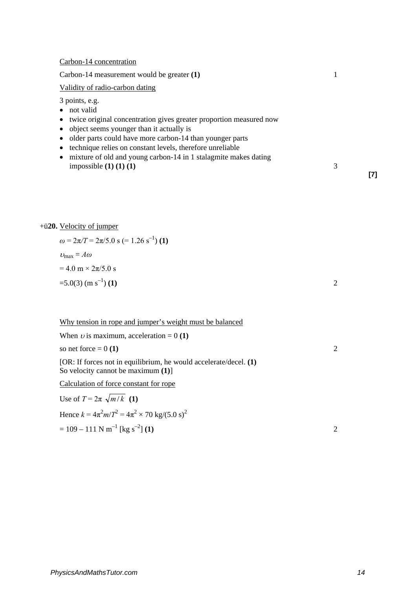### Carbon-14 concentration

Carbon-14 measurement would be greater **(1)** 1

### Validity of radio-carbon dating

3 points, e.g.

- not valid
- twice original concentration gives greater proportion measured now
- object seems younger than it actually is
- older parts could have more carbon-14 than younger parts
- technique relies on constant levels, therefore unreliable
- mixture of old and young carbon-14 in 1 stalagmite makes dating impossible **(1) (1) (1)**  $\overline{1}$  3

### +ü**20.** Velocity of jumper

$$
\omega = 2\pi/T = 2\pi/5.0 \text{ s} (= 1.26 \text{ s}^{-1}) (1)
$$
  
\n
$$
\nu_{\text{max}} = A\omega
$$
  
\n= 4.0 m × 2 $\pi$ /5.0 s  
\n=5.0(3) (m s<sup>-1</sup>) (1)

Why tension in rope and jumper's weight must be balanced

| When <i>v</i> is maximum, acceleration = 0 (1)                                                               |  |
|--------------------------------------------------------------------------------------------------------------|--|
| so net force $= 0(1)$                                                                                        |  |
| [OR: If forces not in equilibrium, he would accelerate/decel. $(1)$<br>So velocity cannot be maximum $(1)$ ] |  |
| Calculation of force constant for rope                                                                       |  |
| Use of $T = 2\pi \sqrt{m/k}$ (1)                                                                             |  |
| Hence $k = 4\pi^2 m/T^2 = 4\pi^2 \times 70$ kg/(5.0 s) <sup>2</sup>                                          |  |
| $= 109 - 111$ N m <sup>-1</sup> [kg s <sup>-2</sup> ] (1)                                                    |  |

**[7]**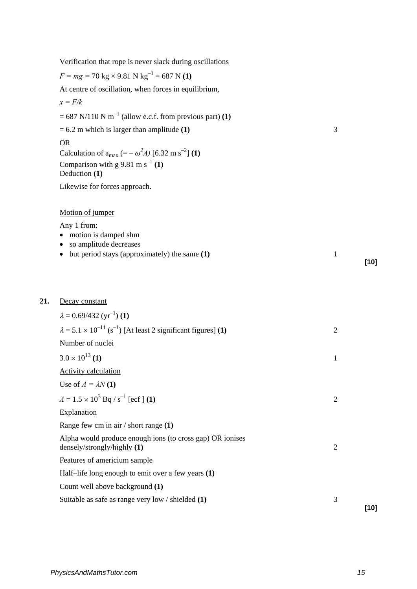| Verification that rope is never slack during oscillations                                   |                |        |
|---------------------------------------------------------------------------------------------|----------------|--------|
| $F = mg = 70 \text{ kg} \times 9.81 \text{ N kg}^{-1} = 687 \text{ N}$ (1)                  |                |        |
| At centre of oscillation, when forces in equilibrium,                                       |                |        |
| $x = F/k$                                                                                   |                |        |
| = 687 N/110 N m <sup>-1</sup> (allow e.c.f. from previous part) (1)                         |                |        |
| $= 6.2$ m which is larger than amplitude (1)                                                | 3              |        |
| <b>OR</b>                                                                                   |                |        |
| Calculation of $a_{max}$ (= – $\omega^2 A$ ) [6.32 m s <sup>-2</sup> ] (1)                  |                |        |
| Comparison with g 9.81 m s <sup>-1</sup> (1)<br>Deduction (1)                               |                |        |
| Likewise for forces approach.                                                               |                |        |
| Motion of jumper                                                                            |                |        |
| Any 1 from:                                                                                 |                |        |
| motion is damped shm<br>so amplitude decreases                                              |                |        |
| but period stays (approximately) the same (1)<br>٠                                          | $\mathbf{1}$   |        |
|                                                                                             |                | $[10]$ |
|                                                                                             |                |        |
| Decay constant                                                                              |                |        |
| $\lambda = 0.69/432$ (yr <sup>-1</sup> ) (1)                                                |                |        |
| $\lambda$ = 5.1 × 10 <sup>-11</sup> (s <sup>-1</sup> ) [At least 2 significant figures] (1) | $\overline{2}$ |        |
| Number of nuclei                                                                            |                |        |
| $3.0 \times 10^{13}$ (1)                                                                    | $\mathbf{1}$   |        |
| <b>Activity calculation</b>                                                                 |                |        |
| Use of $A = \lambda N(1)$                                                                   |                |        |
| $A = 1.5 \times 10^3$ Bq / s <sup>-1</sup> [ecf ] (1)                                       | $\overline{2}$ |        |
| Explanation                                                                                 |                |        |
| Range few cm in $air / short range (1)$                                                     |                |        |
| Alpha would produce enough ions (to cross gap) OR ionises<br>densely/strongly/highly (1)    | $\overline{2}$ |        |
| Features of americium sample                                                                |                |        |
| Half-life long enough to emit over a few years (1)                                          |                |        |
| Count well above background (1)                                                             |                |        |
| Suitable as safe as range very low / shielded (1)                                           | 3              |        |
|                                                                                             |                | $[10]$ |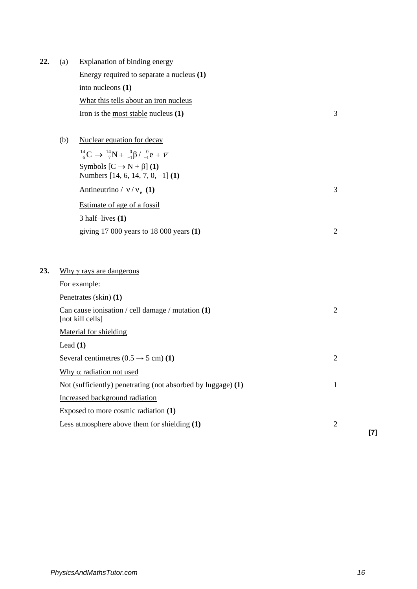| 22. | (a)                            | <b>Explanation of binding energy</b>                                               |                |  |  |  |  |
|-----|--------------------------------|------------------------------------------------------------------------------------|----------------|--|--|--|--|
|     |                                | Energy required to separate a nucleus (1)                                          |                |  |  |  |  |
|     |                                | into nucleons (1)                                                                  |                |  |  |  |  |
|     |                                | What this tells about an iron nucleus                                              |                |  |  |  |  |
|     |                                | Iron is the most stable nucleus $(1)$                                              | 3              |  |  |  |  |
|     | (b)                            | Nuclear equation for decay                                                         |                |  |  |  |  |
|     |                                | $^{14}_{6}C \rightarrow ^{14}_{7}N + ^{0}_{-1}\beta / ^{0}_{-1}e + \overline{\nu}$ |                |  |  |  |  |
|     |                                | Symbols $[C \rightarrow N + \beta] (1)$<br>Numbers [14, 6, 14, 7, 0, -1] (1)       |                |  |  |  |  |
|     |                                | Antineutrino / $\overline{v}$ / $\overline{v}_e$ (1)                               | 3              |  |  |  |  |
|     |                                | Estimate of age of a fossil                                                        |                |  |  |  |  |
|     |                                | $3$ half-lives $(1)$                                                               |                |  |  |  |  |
|     |                                | giving $17000$ years to $18000$ years $(1)$                                        | $\overline{2}$ |  |  |  |  |
|     |                                |                                                                                    |                |  |  |  |  |
| 23. |                                | Why $\gamma$ rays are dangerous                                                    |                |  |  |  |  |
|     |                                | For example:                                                                       |                |  |  |  |  |
|     |                                | Penetrates (skin) (1)                                                              |                |  |  |  |  |
|     |                                | Can cause ionisation / cell damage / mutation $(1)$<br>[not kill cells]            | $\overline{c}$ |  |  |  |  |
|     |                                | <b>Material for shielding</b>                                                      |                |  |  |  |  |
|     | Lead $(1)$                     |                                                                                    |                |  |  |  |  |
|     |                                | Several centimetres $(0.5 \rightarrow 5 \text{ cm})$ (1)                           | $\overline{2}$ |  |  |  |  |
|     |                                | Why $\alpha$ radiation not used                                                    |                |  |  |  |  |
|     |                                | Not (sufficiently) penetrating (not absorbed by luggage) (1)                       | 1              |  |  |  |  |
|     | Increased background radiation |                                                                                    |                |  |  |  |  |
|     |                                | Exposed to more cosmic radiation (1)                                               |                |  |  |  |  |
|     |                                | Less atmosphere above them for shielding (1)                                       | $\overline{2}$ |  |  |  |  |
|     |                                |                                                                                    |                |  |  |  |  |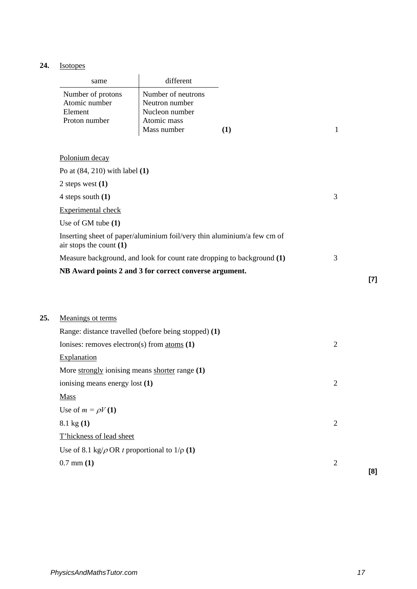# **24.** Isotopes

| same              | different          |  |
|-------------------|--------------------|--|
| Number of protons | Number of neutrons |  |
| Atomic number     | Neutron number     |  |
| Element           | Nucleon number     |  |
| Proton number     | Atomic mass        |  |
|                   | Mass number        |  |

| Polonium decav |  |
|----------------|--|
|                |  |

| Po at $(84, 210)$ with label $(1)$                                                                   |   |
|------------------------------------------------------------------------------------------------------|---|
| 2 steps west $(1)$                                                                                   |   |
| 4 steps south $(1)$                                                                                  | 3 |
| Experimental check                                                                                   |   |
| Use of GM tube $(1)$                                                                                 |   |
| Inserting sheet of paper/aluminium foil/very thin aluminium/a few cm of<br>air stops the count $(1)$ |   |
| Measure background, and look for count rate dropping to background (1)                               | 3 |
| NB Award points 2 and 3 for correct converse argument.                                               |   |

| 25. | Meanings ot terms                                       |                |     |
|-----|---------------------------------------------------------|----------------|-----|
|     | Range: distance travelled (before being stopped) (1)    |                |     |
|     | Ionises: removes electron(s) from atoms $(1)$           | $\overline{2}$ |     |
|     | <b>Explanation</b>                                      |                |     |
|     | More strongly ionising means shorter range (1)          |                |     |
|     | ionising means energy lost (1)                          | 2              |     |
|     | <b>Mass</b>                                             |                |     |
|     | Use of $m = \rho V(1)$                                  |                |     |
|     | $8.1 \text{ kg} (1)$                                    | $\overline{2}$ |     |
|     | T'hickness of lead sheet                                |                |     |
|     | Use of 8.1 kg/ $\rho$ OR t proportional to $1/\rho$ (1) |                |     |
|     | $0.7$ mm $(1)$                                          | $\overline{2}$ |     |
|     |                                                         |                | [8] |

**[7]**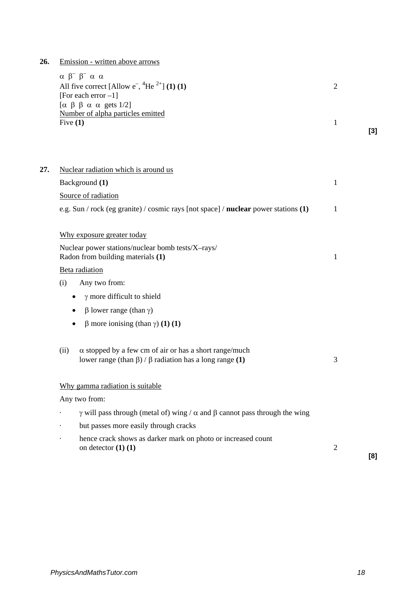**26.** Emission - written above arrows

|     | $\alpha \beta^{-} \beta^{-} \alpha \alpha$<br>All five correct [Allow $e^{-}$ , <sup>4</sup> He <sup>2+</sup> ] (1) (1)<br>[For each error $-1$ ] | $\overline{2}$ |       |
|-----|---------------------------------------------------------------------------------------------------------------------------------------------------|----------------|-------|
|     | [ $\alpha \beta \beta \alpha \alpha$ gets 1/2]<br>Number of alpha particles emitted<br>Five $(1)$                                                 | $\mathbf{1}$   | $[3]$ |
| 27. | Nuclear radiation which is around us                                                                                                              |                |       |
|     | Background (1)                                                                                                                                    | $\mathbf{1}$   |       |
|     | Source of radiation                                                                                                                               |                |       |
|     | e.g. Sun / rock (eg granite) / cosmic rays [not space] / nuclear power stations (1)                                                               | 1              |       |
|     | Why exposure greater today                                                                                                                        |                |       |
|     | Nuclear power stations/nuclear bomb tests/X-rays/<br>Radon from building materials (1)                                                            | $\mathbf{1}$   |       |
|     | Beta radiation                                                                                                                                    |                |       |
|     | (i)<br>Any two from:                                                                                                                              |                |       |
|     | $\gamma$ more difficult to shield<br>٠                                                                                                            |                |       |
|     | $\beta$ lower range (than $\gamma$ )<br>٠                                                                                                         |                |       |
|     | β more ionising (than γ) (1) (1)<br>$\bullet$                                                                                                     |                |       |
|     | $\alpha$ stopped by a few cm of air or has a short range/much<br>(ii)<br>lower range (than $\beta$ ) / $\beta$ radiation has a long range (1)     | 3              |       |
|     | Why gamma radiation is suitable                                                                                                                   |                |       |
|     | Any two from:                                                                                                                                     |                |       |
|     | $\gamma$ will pass through (metal of) wing / $\alpha$ and $\beta$ cannot pass through the wing                                                    |                |       |
|     | but passes more easily through cracks                                                                                                             |                |       |
|     | hence crack shows as darker mark on photo or increased count<br>on detector $(1)$ $(1)$                                                           | $\overline{2}$ | [8]   |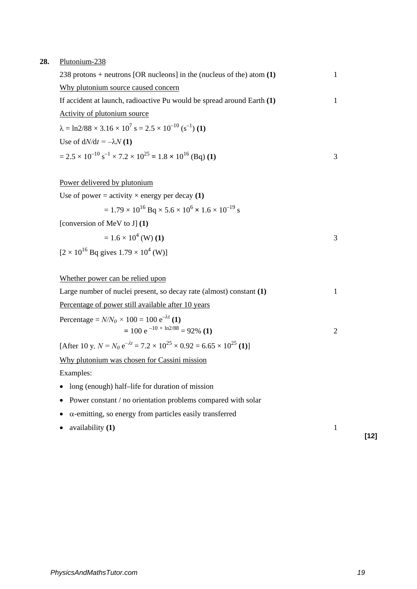### **28.** Plutonium-238

| 238 protons + neutrons [OR nucleons] in the (nucleus of the) atom $(1)$                            |   |
|----------------------------------------------------------------------------------------------------|---|
| Why plutonium source caused concern                                                                |   |
| If accident at launch, radioactive Pu would be spread around Earth (1)                             |   |
| Activity of plutonium source                                                                       |   |
| $\lambda = \ln 2/88 \times 3.16 \times 10^7$ s = $2.5 \times 10^{-10}$ (s <sup>-1</sup> ) (1)      |   |
| Use of $dN/dt = -\lambda N(1)$                                                                     |   |
| $= 2.5 \times 10^{-10}$ s <sup>-1</sup> × 7.2 × 10 <sup>25</sup> = 1.8 × 10 <sup>16</sup> (Bq) (1) | 3 |
|                                                                                                    |   |
| Power delivered by plutonium                                                                       |   |
| Use of power = activity $\times$ energy per decay (1)                                              |   |
| $= 1.79 \times 10^{16}$ Bq $\times 5.6 \times 10^{6} \times 1.6 \times 10^{-19}$ s                 |   |
| [conversion of MeV to J] $(1)$                                                                     |   |

$$
= 1.6 \times 10^4 \, \text{(W)} \, \text{(1)}
$$

$$
[2 \times 10^{16} \text{ Bq gives } 1.79 \times 10^4 \text{ (W)}]
$$

# Whether power can be relied upon

| Large number of nuclei present, so decay rate (almost) constant $(1)$ |  |
|-----------------------------------------------------------------------|--|
| Percentage of power still available after 10 years                    |  |
| Percentage = $N/N_0 \times 100 = 100 e^{-\lambda t}$ (1)              |  |

$$
= 100 e^{-10 \times \ln 2/88} = 92\% (1)
$$

 $[After 10 y, N = N_0 e^{-\lambda t} = 7.2 \times 10^{25} \times 0.92 = 6.65 \times 10^{25} (1)]$ 

Why plutonium was chosen for Cassini mission

Examples:

- long (enough) half–life for duration of mission
- Power constant / no orientation problems compared with solar
- α-emitting, so energy from particles easily transferred
- availability **(1)** 1

**[12]**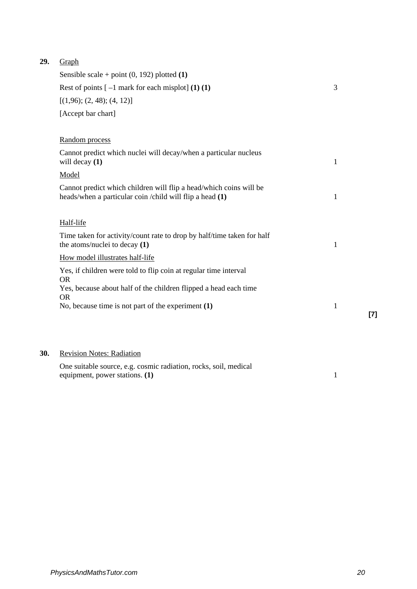# **29.** Graph

| Sensible scale + point $(0, 192)$ plotted $(1)$                                                                                 |   |
|---------------------------------------------------------------------------------------------------------------------------------|---|
| Rest of points $[-1$ mark for each misplot] (1) (1)                                                                             | 3 |
| [(1,96); (2,48); (4,12)]                                                                                                        |   |
| [Accept bar chart]                                                                                                              |   |
|                                                                                                                                 |   |
| Random process                                                                                                                  |   |
| Cannot predict which nuclei will decay/when a particular nucleus<br>will decay $(1)$                                            | 1 |
| Model                                                                                                                           |   |
| Cannot predict which children will flip a head/which coins will be<br>heads/when a particular coin / child will flip a head (1) | 1 |
| Half-life                                                                                                                       |   |
| Time taken for activity/count rate to drop by half/time taken for half<br>the atoms/nuclei to decay $(1)$                       | 1 |
| How model illustrates half-life                                                                                                 |   |
| Yes, if children were told to flip coin at regular time interval<br><b>OR</b>                                                   |   |
| Yes, because about half of the children flipped a head each time<br><b>OR</b>                                                   |   |
| No, because time is not part of the experiment $(1)$                                                                            | 1 |
|                                                                                                                                 |   |
|                                                                                                                                 |   |

# **30.** Revision Notes: Radiation

One suitable source, e.g. cosmic radiation, rocks, soil, medical equipment, power stations. **(1)** 1 **[7]**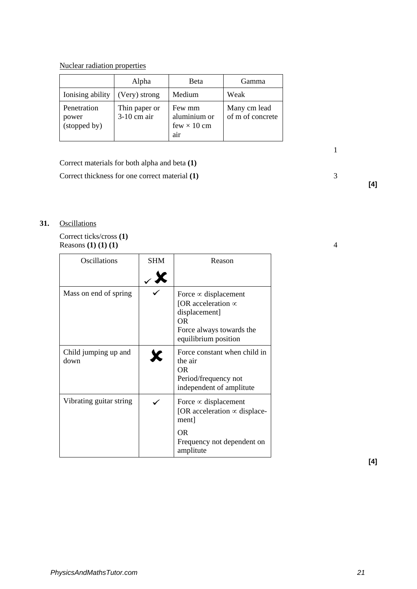Nuclear radiation properties

|                                      | Alpha                        | <b>B</b> eta                                        | Gamma                            |
|--------------------------------------|------------------------------|-----------------------------------------------------|----------------------------------|
| Ionising ability                     | (Very) strong                | Medium                                              | Weak                             |
| Penetration<br>power<br>(stopped by) | Thin paper or<br>3-10 cm air | Few mm<br>aluminium or<br>few $\times$ 10 cm<br>air | Many cm lead<br>of m of concrete |

 $1$ 

Correct materials for both alpha and beta **(1)**

Correct thickness for one correct material **(1)** 3

# **31.** Oscillations

Correct ticks/cross **(1)**  Reasons **(1) (1) (1)**  $\overline{1}$  4

| Oscillations                 | <b>SHM</b> | Reason                                                                                                                              |
|------------------------------|------------|-------------------------------------------------------------------------------------------------------------------------------------|
|                              |            |                                                                                                                                     |
| Mass on end of spring        |            | Force $\infty$ displacement<br>[OR acceleration $\infty$<br>displacement]<br>ΩR<br>Force always towards the<br>equilibrium position |
| Child jumping up and<br>down |            | Force constant when child in<br>the air<br>ΩR<br>Period/frequency not<br>independent of amplitute                                   |
| Vibrating guitar string      |            | Force $\infty$ displacement<br>[OR acceleration $\infty$ displace-<br>ment                                                          |
|                              |            | OR<br>Frequency not dependent on<br>amplitute                                                                                       |

**[4]**

**[4]**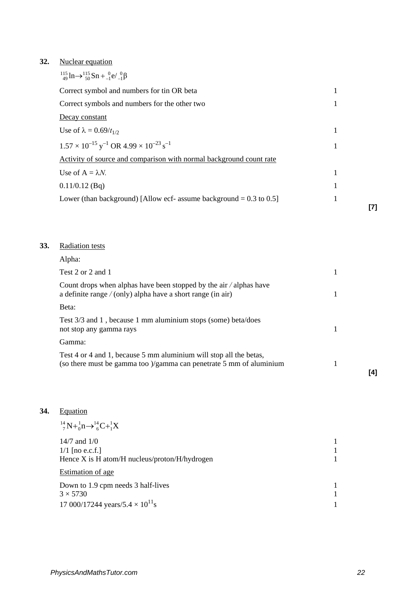# **32.** Nuclear equation

| $^{115}_{49}$ ln $\rightarrow ^{115}_{50}$ Sn + $^{0}_{-1}$ e/ $^{0}_{-1}$ $\beta$ |   |     |
|------------------------------------------------------------------------------------|---|-----|
| Correct symbol and numbers for tin OR beta                                         | 1 |     |
| Correct symbols and numbers for the other two                                      | 1 |     |
| Decay constant                                                                     |   |     |
| Use of $\lambda = 0.69/t_{1/2}$                                                    | 1 |     |
| $1.57 \times 10^{-15}$ y <sup>-1</sup> OR 4.99 $\times 10^{-23}$ s <sup>-1</sup>   |   |     |
| Activity of source and comparison with normal background count rate                |   |     |
| Use of $A = \lambda N$ .                                                           |   |     |
| $0.11/0.12$ (Bq)                                                                   |   |     |
| Lower (than background) [Allow ecf- assume background $= 0.3$ to 0.5]              |   | [7] |
|                                                                                    |   |     |

# **33.** Radiation tests

| Alpha:                                                                                                                                     |     |
|--------------------------------------------------------------------------------------------------------------------------------------------|-----|
| Test 2 or 2 and 1                                                                                                                          |     |
| Count drops when alphas have been stopped by the air $\alpha$ alphas have<br>a definite range $/$ (only) alpha have a short range (in air) |     |
| Beta:                                                                                                                                      |     |
| Test 3/3 and 1, because 1 mm aluminium stops (some) beta/does<br>not stop any gamma rays                                                   |     |
| Gamma:                                                                                                                                     |     |
| Test 4 or 4 and 1, because 5 mm aluminium will stop all the betas,<br>(so there must be gamma too )/gamma can penetrate 5 mm of aluminium  |     |
|                                                                                                                                            | [4] |

# **34.** Equation

| $^{14}_{7}N + ^{1}_{9}n \rightarrow ^{14}_{6}C + ^{1}_{1}X$                                                 |  |
|-------------------------------------------------------------------------------------------------------------|--|
| $14/7$ and $1/0$<br>$1/1$ [no e.c.f.]<br>Hence $X$ is $H$ atom/ $H$ nucleus/proton/ $H$ /hydrogen           |  |
| Estimation of age                                                                                           |  |
| Down to 1.9 cpm needs 3 half-lives<br>$3 \times 5730$<br>17 000/17244 years/5.4 $\times$ 10 <sup>11</sup> s |  |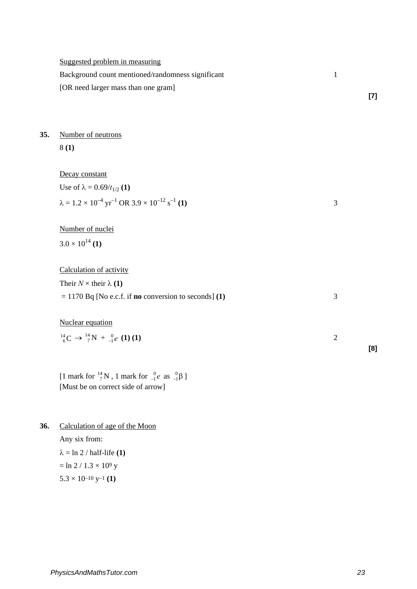|     | Suggested problem in measuring<br>Background count mentioned/randomness significant<br>[OR need larger mass than one gram] | $\mathbf{1}$   | $[7]$ |
|-----|----------------------------------------------------------------------------------------------------------------------------|----------------|-------|
| 35. | Number of neutrons<br>8(1)                                                                                                 |                |       |
|     |                                                                                                                            |                |       |
|     | Decay constant<br>Use of $\lambda = 0.69/t_{1/2}$ (1)                                                                      |                |       |
|     | $\lambda = 1.2 \times 10^{-4}$ yr <sup>-1</sup> OR 3.9 $\times 10^{-12}$ s <sup>-1</sup> (1)                               | 3              |       |
|     | Number of nuclei                                                                                                           |                |       |
|     | $3.0 \times 10^{14}$ (1)                                                                                                   |                |       |
|     | Calculation of activity                                                                                                    |                |       |
|     | Their $N \times$ their $\lambda$ (1)                                                                                       |                |       |
|     | $= 1170$ Bq [No e.c.f. if <b>no</b> conversion to seconds] (1)                                                             | 3              |       |
|     | Nuclear equation                                                                                                           |                |       |
|     | $^{14}_{6}C \rightarrow ^{14}_{7}N + ^{0}_{-1}e$ (1) (1)                                                                   | $\overline{2}$ |       |
|     |                                                                                                                            |                | [8]   |

[1 mark for  $^{14}_{7}$ N, 1 mark for  $^{0}_{-1}$ *e* as  $^{0}_{-1}$ β] [Must be on correct side of arrow]

**36.** Calculation of age of the Moon Any six from:  $\lambda = \ln 2 / \text{half-life (1)}$  $=$  ln 2 / 1.3  $\times$  109 y  $5.3 \times 10^{-10}$  y<sup>-1</sup> (1)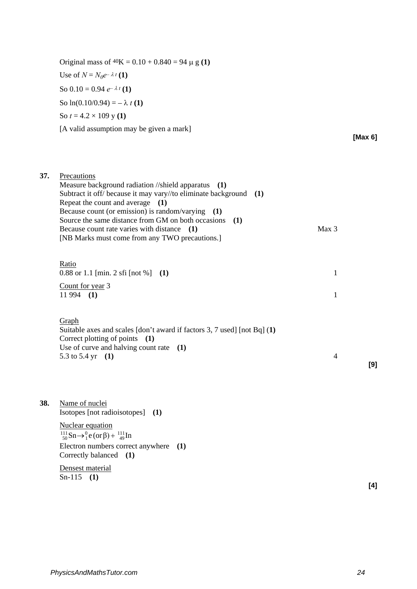Original mass of  $40K = 0.10 + 0.840 = 94 \mu g(1)$ Use of  $N = N_0e^{-\lambda t}$  (1) So  $0.10 = 0.94 e^{-\lambda t}$  (1) So  $ln(0.10/0.94) = -\lambda t(1)$ So  $t = 4.2 \times 109$  y (1) [A valid assumption may be given a mark]

**37.** Precautions

**[Max 6]**

|     | Measure background radiation //shield apparatus (1)<br>Subtract it off/ because it may vary//to eliminate background $(1)$<br>Repeat the count and average (1)<br>Because count (or emission) is random/varying<br>(1)<br>Source the same distance from GM on both occasions<br>(1)<br>Because count rate varies with distance (1)<br>[NB Marks must come from any TWO precautions.] | Max 3          |     |
|-----|--------------------------------------------------------------------------------------------------------------------------------------------------------------------------------------------------------------------------------------------------------------------------------------------------------------------------------------------------------------------------------------|----------------|-----|
|     | Ratio<br>$0.88$ or 1.1 [min. 2 sfi [not %]<br>(1)                                                                                                                                                                                                                                                                                                                                    | 1              |     |
|     | Count for year 3<br>$11994$ (1)                                                                                                                                                                                                                                                                                                                                                      | 1              |     |
|     | Graph<br>Suitable axes and scales [don't award if factors 3, 7 used] [not Bq] (1)<br>Correct plotting of points<br>(1)<br>Use of curve and halving count rate $(1)$<br>5.3 to 5.4 yr $(1)$                                                                                                                                                                                           | $\overline{4}$ | [9] |
| 38. | Name of nuclei<br>Isotopes [not radioisotopes] (1)                                                                                                                                                                                                                                                                                                                                   |                |     |
|     | <b>Nuclear equation</b><br>$^{111}_{50}Sn \rightarrow ^0_1e$ (or $\beta$ ) + $^{111}_{49}In$<br>Electron numbers correct anywhere (1)<br>Correctly balanced (1)                                                                                                                                                                                                                      |                |     |
|     | Densest material<br>$Sn-115$<br>(1)                                                                                                                                                                                                                                                                                                                                                  |                | [4] |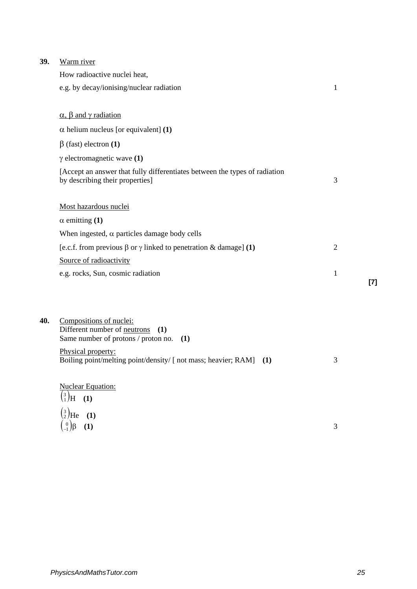| 39. | Warm river                                                                                                    |                |     |
|-----|---------------------------------------------------------------------------------------------------------------|----------------|-----|
|     | How radioactive nuclei heat,                                                                                  |                |     |
|     | e.g. by decay/ionising/nuclear radiation                                                                      | 1              |     |
|     | $\alpha$ , $\beta$ and $\gamma$ radiation                                                                     |                |     |
|     | $\alpha$ helium nucleus [or equivalent] (1)                                                                   |                |     |
|     | $\beta$ (fast) electron (1)                                                                                   |                |     |
|     | $\gamma$ electromagnetic wave (1)                                                                             |                |     |
|     | [Accept an answer that fully differentiates between the types of radiation<br>by describing their properties] | 3              |     |
|     | Most hazardous nuclei                                                                                         |                |     |
|     | $\alpha$ emitting (1)                                                                                         |                |     |
|     | When ingested, $\alpha$ particles damage body cells                                                           |                |     |
|     | [e.c.f. from previous $\beta$ or $\gamma$ linked to penetration & damage] (1)                                 | $\overline{2}$ |     |
|     | Source of radioactivity                                                                                       |                |     |
|     | e.g. rocks, Sun, cosmic radiation                                                                             | 1              |     |
|     |                                                                                                               |                | [7] |
|     |                                                                                                               |                |     |
| 40. | Compositions of nuclei:<br>Different number of neutrons<br>(1)<br>Same number of protons / proton no.<br>(1)  |                |     |
|     | Physical property:<br>Boiling point/melting point/density/ [ not mass; heavier; RAM]<br>(1)                   | 3              |     |
|     | <b>Nuclear Equation:</b><br>$\binom{3}{1}$ H (1)                                                              |                |     |
|     | $\binom{3}{2}$ He (1)                                                                                         |                |     |

 $\begin{pmatrix} 0 \\ -1 \end{pmatrix} \beta$  (1) 3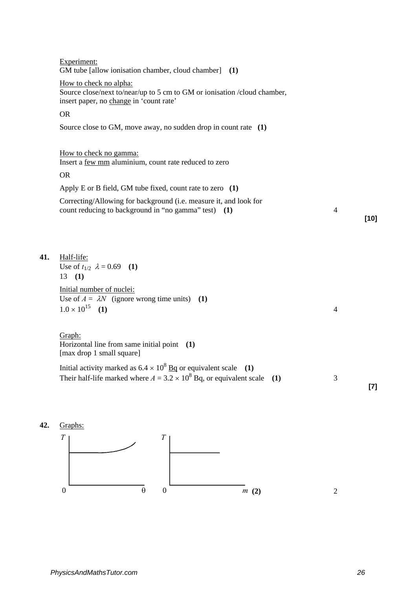|     | Experiment:<br>GM tube [allow ionisation chamber, cloud chamber] (1)                                                                          |                |        |
|-----|-----------------------------------------------------------------------------------------------------------------------------------------------|----------------|--------|
|     | How to check no alpha:<br>Source close/next to/near/up to 5 cm to GM or ionisation /cloud chamber,<br>insert paper, no change in 'count rate' |                |        |
|     | <b>OR</b>                                                                                                                                     |                |        |
|     | Source close to GM, move away, no sudden drop in count rate $(1)$                                                                             |                |        |
|     | How to check no gamma:<br>Insert a few mm aluminium, count rate reduced to zero                                                               |                |        |
|     | <b>OR</b>                                                                                                                                     |                |        |
|     | Apply E or B field, GM tube fixed, count rate to zero $(1)$                                                                                   |                |        |
|     | Correcting/Allowing for background (i.e. measure it, and look for<br>count reducing to background in "no gamma" test) (1)                     | 4              | $[10]$ |
| 41. | Half-life:                                                                                                                                    |                |        |
|     | Use of $t_{1/2}$ $\lambda = 0.69$ (1)                                                                                                         |                |        |
|     | 13(1)<br>Initial number of nuclei:<br>Use of $A = \lambda N$ (ignore wrong time units) (1)<br>$1.0 \times 10^{15}$ (1)                        | $\overline{4}$ |        |
|     | Graph:<br>Horizontal line from same initial point (1)<br>[max drop 1 small square]                                                            |                |        |
|     | Initial activity marked as $6.4 \times 10^8$ Bq or equivalent scale (1)                                                                       |                |        |
|     | Their half-life marked where $A = 3.2 \times 10^8$ Bq, or equivalent scale (1)                                                                | 3              | $[7]$  |

**42.** Graphs:

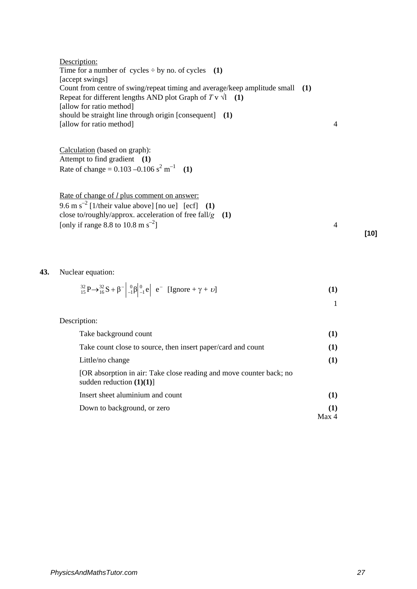|     | Description:<br>Time for a number of cycles $\div$ by no. of cycles (1)<br>[accept swings]                                                                                            |                |        |
|-----|---------------------------------------------------------------------------------------------------------------------------------------------------------------------------------------|----------------|--------|
|     | Count from centre of swing/repeat timing and average/keep amplitude small (1)<br>Repeat for different lengths AND plot Graph of $T v \sqrt{1}$ (1)                                    |                |        |
|     | [allow for ratio method]                                                                                                                                                              |                |        |
|     | should be straight line through origin [consequent] (1)<br>[allow for ratio method]                                                                                                   | $\overline{4}$ |        |
|     | Calculation (based on graph):<br>Attempt to find gradient (1)<br>Rate of change = $0.103 - 0.106$ s <sup>2</sup> m <sup>-1</sup> (1)                                                  |                |        |
|     | Rate of change of <i>l</i> plus comment on answer:<br>9.6 m $s^{-2}$ [1/their value above] [no ue] [ecf]<br>(1)<br>close to/roughly/approx. acceleration of free fall/ $g$<br>(1)     |                |        |
|     | [only if range 8.8 to 10.8 m s <sup>-2</sup> ]                                                                                                                                        | $\overline{4}$ | $[10]$ |
| 43. | Nuclear equation:                                                                                                                                                                     |                |        |
|     | ${}^{32}_{15}P \rightarrow {}^{32}_{16}S + \beta^{-}$ $\begin{bmatrix} 0 \\ -1 \\ 1 \end{bmatrix} \begin{bmatrix} 0 \\ -1 \\ e \end{bmatrix}$ $e^{-}$ [Ignore + $\gamma + \upsilon$ ] | (1)            |        |
|     |                                                                                                                                                                                       | $\mathbf{1}$   |        |
|     | Description:                                                                                                                                                                          |                |        |
|     | Take background count                                                                                                                                                                 | (1)            |        |
|     | Take count close to source, then insert paper/card and count                                                                                                                          | (1)            |        |
|     | Little/no change                                                                                                                                                                      | (1)            |        |
|     | [OR absorption in air: Take close reading and move counter back; no<br>sudden reduction $(1)(1)$ ]                                                                                    |                |        |
|     | Insert sheet aluminium and count                                                                                                                                                      | (1)            |        |
|     | Down to background, or zero                                                                                                                                                           | (1)<br>Max 4   |        |
|     |                                                                                                                                                                                       |                |        |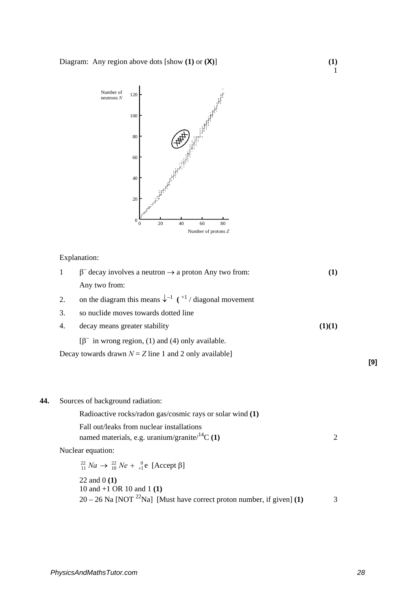

Explanation:

|     | 1  | $\beta^-$ decay involves a neutron $\rightarrow$ a proton Any two from:                         | (1)            |     |
|-----|----|-------------------------------------------------------------------------------------------------|----------------|-----|
|     |    | Any two from:                                                                                   |                |     |
|     | 2. | on the diagram this means $\downarrow^{-1}$ ( $+1$ / diagonal movement                          |                |     |
|     | 3. | so nuclide moves towards dotted line                                                            |                |     |
|     | 4. | decay means greater stability                                                                   | (1)(1)         |     |
|     |    | $[\beta^-$ in wrong region, (1) and (4) only available.                                         |                |     |
|     |    | Decay towards drawn $N = Z$ line 1 and 2 only available]                                        |                |     |
|     |    |                                                                                                 |                | [9] |
|     |    |                                                                                                 |                |     |
| 44. |    | Sources of background radiation:                                                                |                |     |
|     |    | Radioactive rocks/radon gas/cosmic rays or solar wind (1)                                       |                |     |
|     |    | Fall out/leaks from nuclear installations<br>named materials, e.g. uranium/granite/ $^{14}C(1)$ | $\overline{2}$ |     |
|     |    | Nuclear equation:                                                                               |                |     |
|     |    | $^{22}_{11}$ Na $\rightarrow$ $^{22}_{10}$ Ne + $^{0}_{+1}$ e [Accept $\beta$ ]                 |                |     |
|     |    | 22 and $0(1)$<br>10 and $+1$ OR 10 and 1 (1)                                                    |                |     |
|     |    | $20 - 26$ Na [NOT <sup>22</sup> Na] [Must have correct proton number, if given] (1)             | 3              |     |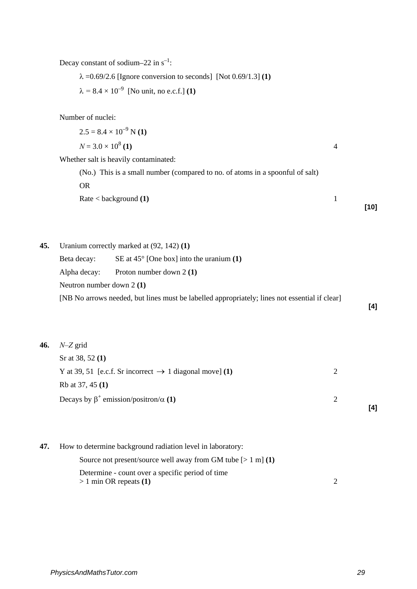Decay constant of sodium–22 in  $s^{-1}$ :

λ =0.69/2.6 [Ignore conversion to seconds] [Not 0.69/1.3] **(1)**

 $\lambda = 8.4 \times 10^{-9}$  [No unit, no e.c.f.] (1)

Number of nuclei:

| $2.5 = 8.4 \times 10^{-9}$ N (1)                                              |  |
|-------------------------------------------------------------------------------|--|
| $N = 3.0 \times 10^8$ (1)                                                     |  |
| Whether salt is heavily contaminated:                                         |  |
| (No.) This is a small number (compared to no. of atoms in a spoonful of salt) |  |
| OR.                                                                           |  |
|                                                                               |  |

| Rate $<$ background $(1)$ |      |
|---------------------------|------|
|                           | [10] |

**45.** Uranium correctly marked at (92, 142) **(1)**

| Beta decay:                                                                                   | SE at $45^{\circ}$ [One box] into the uranium (1) |  |  |
|-----------------------------------------------------------------------------------------------|---------------------------------------------------|--|--|
|                                                                                               | Alpha decay: Proton number down $2(1)$            |  |  |
| Neutron number down $2(1)$                                                                    |                                                   |  |  |
| [NB No arrows needed, but lines must be labelled appropriately; lines not essential if clear] |                                                   |  |  |

**46.** *N–Z* grid

| Sr at 38, 52 $(1)$                                                  |          |     |
|---------------------------------------------------------------------|----------|-----|
| Y at 39, 51 [e.c.f. Sr incorrect $\rightarrow$ 1 diagonal move] (1) |          |     |
| Rb at 37, 45 (1)                                                    |          |     |
| Decays by $\beta^+$ emission/positron/ $\alpha$ (1)                 | $\gamma$ |     |
|                                                                     |          | [4] |

**47.** How to determine background radiation level in laboratory:

| Source not present/source well away from GM tube $[> 1 \text{ m}]$ (1) |  |
|------------------------------------------------------------------------|--|
| Determine - count over a specific period of time                       |  |
| $> 1$ min OR repeats (1)                                               |  |

**[4]**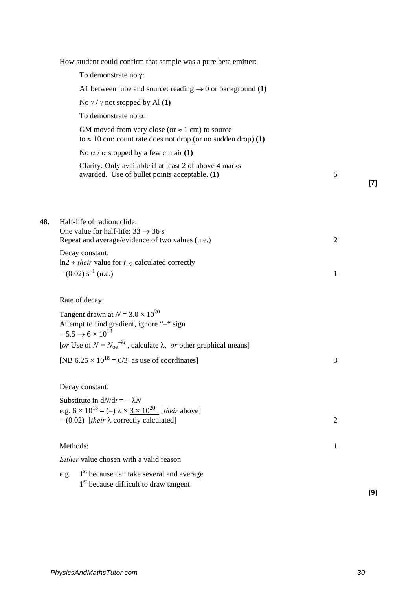|     | How student could confirm that sample was a pure beta emitter:                                                                                                         |                |     |
|-----|------------------------------------------------------------------------------------------------------------------------------------------------------------------------|----------------|-----|
|     | To demonstrate no $\gamma$ :                                                                                                                                           |                |     |
|     | A1 between tube and source: reading $\rightarrow$ 0 or background (1)                                                                                                  |                |     |
|     | No $\gamma$ / $\gamma$ not stopped by Al (1)                                                                                                                           |                |     |
|     | To demonstrate no $\alpha$ :                                                                                                                                           |                |     |
|     | GM moved from very close (or $\approx$ 1 cm) to source<br>to $\approx$ 10 cm: count rate does not drop (or no sudden drop) (1)                                         |                |     |
|     | No $\alpha$ / α stopped by a few cm air (1)                                                                                                                            |                |     |
|     | Clarity: Only available if at least 2 of above 4 marks<br>awarded. Use of bullet points acceptable. (1)                                                                | 5              | [7] |
|     |                                                                                                                                                                        |                |     |
| 48. | Half-life of radionuclide:<br>One value for half-life: $33 \rightarrow 36$ s<br>Repeat and average/evidence of two values (u.e.)                                       | $\overline{2}$ |     |
|     | Decay constant:                                                                                                                                                        |                |     |
|     | $\ln 2 \div$ their value for $t_{1/2}$ calculated correctly<br>$= (0.02) s^{-1}$ (u.e.)                                                                                | 1              |     |
|     | Rate of decay:                                                                                                                                                         |                |     |
|     | Tangent drawn at $N = 3.0 \times 10^{20}$<br>Attempt to find gradient, ignore "-" sign<br>$= 5.5 \rightarrow 6 \times 10^{18}$                                         |                |     |
|     | [or Use of $N = N_{oe}^{-\lambda t}$ , calculate $\lambda$ , or other graphical means]<br>[NB $6.25 \times 10^{18} = 0/3$ as use of coordinates]                       | 3              |     |
|     | Decay constant:                                                                                                                                                        |                |     |
|     | Substitute in $dN/dt = -\lambda N$<br>e.g. $6 \times 10^{18} = (-) \lambda \times 3 \times 10^{20}$ [their above]<br>$= (0.02)$ [their $\lambda$ correctly calculated] | $\overline{2}$ |     |
|     | Methods:                                                                                                                                                               | 1              |     |
|     | <i>Either</i> value chosen with a valid reason                                                                                                                         |                |     |
|     | 1 <sup>st</sup> because can take several and average<br>e.g.<br>1 <sup>st</sup> because difficult to draw tangent                                                      |                | [9] |
|     |                                                                                                                                                                        |                |     |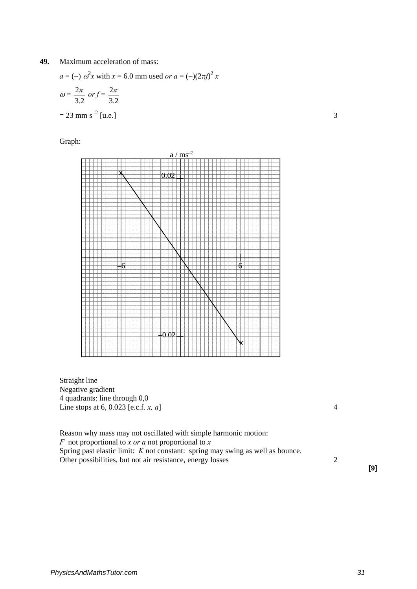**49.** Maximum acceleration of mass:

$$
a = (-) \omega^2 x \text{ with } x = 6.0 \text{ mm used or } a = (-)(2\pi f)^2 x
$$
  
\n
$$
\omega = \frac{2\pi}{3.2} \text{ or } f = \frac{2\pi}{3.2}
$$
  
\n
$$
= 23 \text{ mm s}^{-2} \text{ [u.e.]}
$$

Graph:



Straight line Negative gradient 4 quadrants: line through 0,0 Line stops at 6, 0.023 [e.c.f. *x, a*] 4

Reason why mass may not oscillated with simple harmonic motion: *F* not proportional to *x or a* not proportional to *x*  Spring past elastic limit: *K* not constant: spring may swing as well as bounce. Other possibilities, but not air resistance, energy losses 2

**[9]**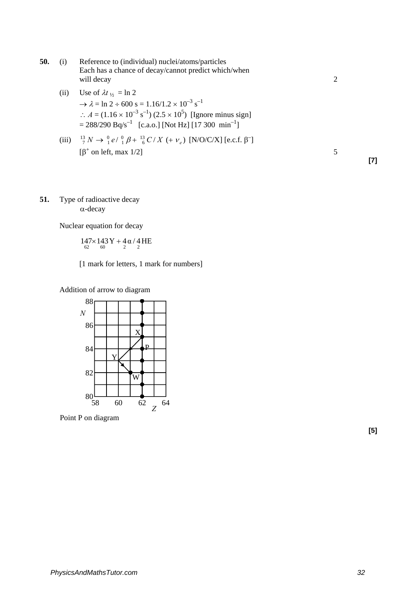- **50.** (i) Reference to (individual) nuclei/atoms/particles Each has a chance of decay/cannot predict which/when will decay 2 (ii) Use of  $\lambda t_{1/2} = \ln 2$  $\rightarrow \lambda = \ln 2 \div 600 \text{ s} = 1.16/1.2 \times 10^{-3} \text{ s}^{-1}$ ∴  $A = (1.16 \times 10^{-3} \text{ s}^{-1}) (2.5 \times 10^{5})$  [Ignore minus sign]  $= 288/290 \text{ Bq/s}^{-1}$  [c.a.o.] [Not Hz] [17 300 min<sup>-1</sup>] (iii)  $\frac{13}{7}N \to \frac{0}{1}e/\frac{0}{1}\beta + \frac{13}{6}C/X + v_e$ ) [N/O/C/X] [e.c.f.  $\beta^-$ ]  $\left[\beta^{\dagger}$  on left, max 1/2] 5 **[7]**
- **51.** Type of radioactive decay α-decay

Nuclear equation for decay

$$
147\times143\,Y+4\,\alpha\,/\,4\,HE \\ \text{62} \quad \text{60}
$$

[1 mark for letters, 1 mark for numbers]

Addition of arrow to diagram



Point P on diagram

**[5]**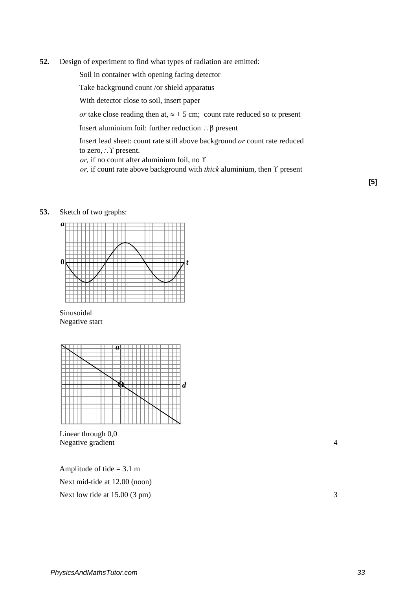**52.** Design of experiment to find what types of radiation are emitted:

Soil in container with opening facing detector

Take background count /or shield apparatus

With detector close to soil, insert paper

*or* take close reading then at,  $\approx +5$  cm; count rate reduced so  $\alpha$  present

Insert aluminium foil: further reduction ∴β present

Insert lead sheet: count rate still above background *or* count rate reduced to zero,∴ Y present.

*or,* if no count after aluminium foil, no ϒ

*or,* if count rate above background with *thick* aluminium, then ϒ present

### **53.** Sketch of two graphs:







Linear through 0,0 Negative gradient 4

Amplitude of tide  $= 3.1$  m Next mid-tide at 12.00 (noon) Next low tide at  $15.00(3 \text{ pm})$  3 **[5]**